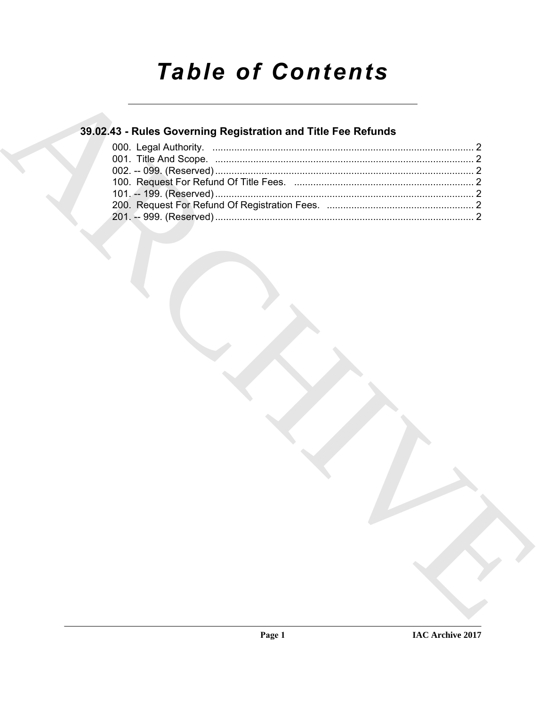# **Table of Contents**

### 39.02.43 - Rules Governing Registration and Title Fee Refunds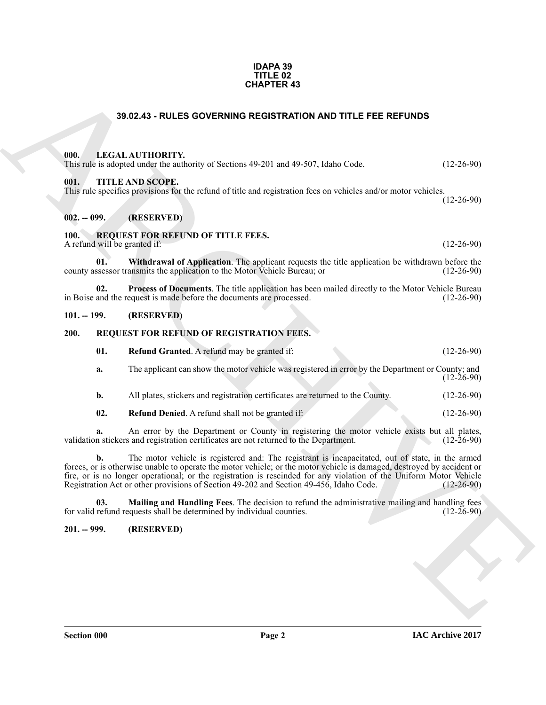#### **IDAPA 39 TITLE 02 CHAPTER 43**

#### **39.02.43 - RULES GOVERNING REGISTRATION AND TITLE FEE REFUNDS**

#### <span id="page-1-1"></span><span id="page-1-0"></span>**000. LEGAL AUTHORITY.**

This rule is adopted under the authority of Sections 49-201 and 49-507, Idaho Code. (12-26-90)

#### <span id="page-1-2"></span>**001. TITLE AND SCOPE.**

This rule specifies provisions for the refund of title and registration fees on vehicles and/or motor vehicles.

(12-26-90)

#### <span id="page-1-3"></span>**002. -- 099. (RESERVED)**

#### <span id="page-1-12"></span><span id="page-1-4"></span>**100. REQUEST FOR REFUND OF TITLE FEES.**

A refund will be granted if: (12-26-90)

<span id="page-1-14"></span>**01.** Withdrawal of Application. The applicant requests the title application be withdrawn before the ssessor transmits the application to the Motor Vehicle Bureau; or (12-26-90) county assessor transmits the application to the Motor Vehicle Bureau; or

<span id="page-1-13"></span>**02. Process of Documents**. The title application has been mailed directly to the Motor Vehicle Bureau and the request is made before the documents are processed. (12-26-90) in Boise and the request is made before the documents are processed.

#### <span id="page-1-5"></span>**101. -- 199. (RESERVED)**

#### <span id="page-1-6"></span>**200. REQUEST FOR REFUND OF REGISTRATION FEES.**

<span id="page-1-11"></span><span id="page-1-8"></span>

| 01. | <b>Refund Granted.</b> A refund may be granted if: | $(12-26-90)$ |
|-----|----------------------------------------------------|--------------|
|     |                                                    |              |

**a.** The applicant can show the motor vehicle was registered in error by the Department or County; and (12-26-90)

**b.** All plates, stickers and registration certificates are returned to the County. (12-26-90)

<span id="page-1-10"></span>**02. Refund Denied**. A refund shall not be granted if: (12-26-90)

**a.** An error by the Department or County in registering the motor vehicle exists but all plates, n stickers and registration certificates are not returned to the Department. (12-26-90) validation stickers and registration certificates are not returned to the Department.

**SHOZA 3 - RULES GOVERNING REGISTRATION AND TITLE FEE REFUNDS<br>
(B).** LEGAL AUTHORITY<br>
(B). THE A NODE CORE are crited of this and registration force or which is and or moto vehicles.<br>
(B). -999. (RESTRATION OF TITLE RTES. **b.** The motor vehicle is registered and: The registrant is incapacitated, out of state, in the armed forces, or is otherwise unable to operate the motor vehicle; or the motor vehicle is damaged, destroyed by accident or fire, or is no longer operational; or the registration is rescinded for any violation of the Uniform Motor Vehicle Registration Act or other provisions of Section 49-202 and Section 49-456, Idaho Code. (12-26-90) Registration Act or other provisions of Section 49-202 and Section 49-456, Idaho Code.

<span id="page-1-9"></span>**Mailing and Handling Fees**. The decision to refund the administrative mailing and handling fees causts shall be determined by individual counties. (12-26-90) for valid refund requests shall be determined by individual counties.

#### <span id="page-1-7"></span>**201. -- 999. (RESERVED)**